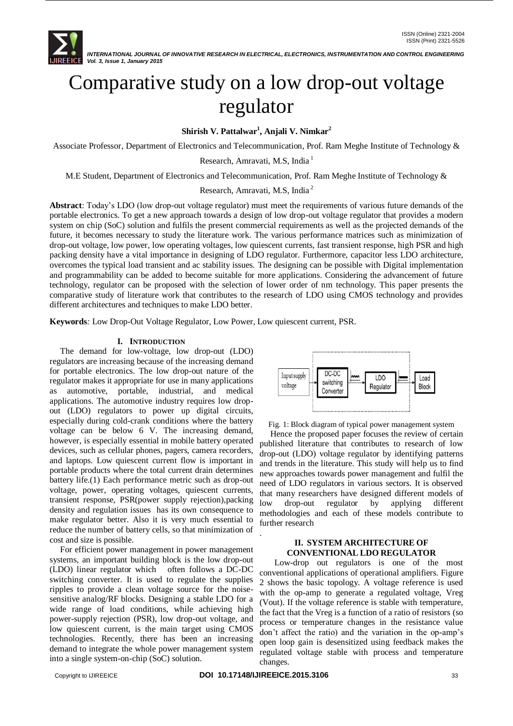

# Comparative study on a low drop-out voltage regulator

**Shirish V. Pattalwar<sup>1</sup> , Anjali V. Nimkar<sup>2</sup>**

Associate Professor, Department of Electronics and Telecommunication, Prof. Ram Meghe Institute of Technology &

Research, Amravati, M.S. India<sup>1</sup>

M.E Student, Department of Electronics and Telecommunication, Prof. Ram Meghe Institute of Technology &

Research, Amravati, M.S, India <sup>2</sup>

**Abstract**: Today's LDO (low drop-out voltage regulator) must meet the requirements of various future demands of the portable electronics. To get a new approach towards a design of low drop-out voltage regulator that provides a modern system on chip (SoC) solution and fulfils the present commercial requirements as well as the projected demands of the future, it becomes necessary to study the literature work. The various performance matrices such as minimization of drop-out voltage, low power, low operating voltages, low quiescent currents, fast transient response, high PSR and high packing density have a vital importance in designing of LDO regulator. Furthermore, capacitor less LDO architecture, overcomes the typical load transient and ac stability issues. The designing can be possible with Digital implementation and programmability can be added to become suitable for more applications. Considering the advancement of future technology, regulator can be proposed with the selection of lower order of nm technology. This paper presents the comparative study of literature work that contributes to the research of LDO using CMOS technology and provides different architectures and techniques to make LDO better.

**Keywords***:* Low Drop-Out Voltage Regulator, Low Power, Low quiescent current, PSR.

## **I. INTRODUCTION**

 The demand for low-voltage, low drop-out (LDO) regulators are increasing because of the increasing demand for portable electronics. The low drop-out nature of the regulator makes it appropriate for use in many applications as automotive, portable, industrial, and medical applications. The automotive industry requires low dropout (LDO) regulators to power up digital circuits, especially during cold-crank conditions where the battery voltage can be below 6 V. The increasing demand, however, is especially essential in mobile battery operated devices, such as cellular phones, pagers, camera recorders, and laptops. Low quiescent current flow is important in portable products where the total current drain determines battery life.(1) Each performance metric such as drop-out voltage, power, operating voltages, quiescent currents, transient response, PSR(power supply rejection),packing density and regulation issues has its own consequence to make regulator better. Also it is very much essential to reduce the number of battery cells, so that minimization of cost and size is possible.

 For efficient power management in power management systems, an important building block is the low drop-out (LDO) linear regulator which often follows a DC-DC switching converter. It is used to regulate the supplies ripples to provide a clean voltage source for the noisesensitive analog/RF blocks. Designing a stable LDO for a wide range of load conditions, while achieving high power-supply rejection (PSR), low drop-out voltage, and low quiescent current, is the main target using CMOS technologies. Recently, there has been an increasing demand to integrate the whole power management system into a single system-on-chip (SoC) solution.



Fig. 1: Block diagram of typical power management system

 Hence the proposed paper focuses the review of certain published literature that contributes to research of low drop-out (LDO) voltage regulator by identifying patterns and trends in the literature. This study will help us to find new approaches towards power management and fulfil the need of LDO regulators in various sectors. It is observed that many researchers have designed different models of low drop-out regulator by applying different methodologies and each of these models contribute to further research

## **II. SYSTEM ARCHITECTURE OF CONVENTIONAL LDO REGULATOR**

 Low-drop out regulators is one of the most conventional applications of operational amplifiers. Figure 2 shows the basic topology. A voltage reference is used with the op-amp to generate a regulated voltage, Vreg (Vout). If the voltage reference is stable with temperature, the fact that the Vreg is a function of a ratio of resistors (so process or temperature changes in the resistance value don't affect the ratio) and the variation in the op-amp's open loop gain is desensitized using feedback makes the regulated voltage stable with process and temperature changes.

.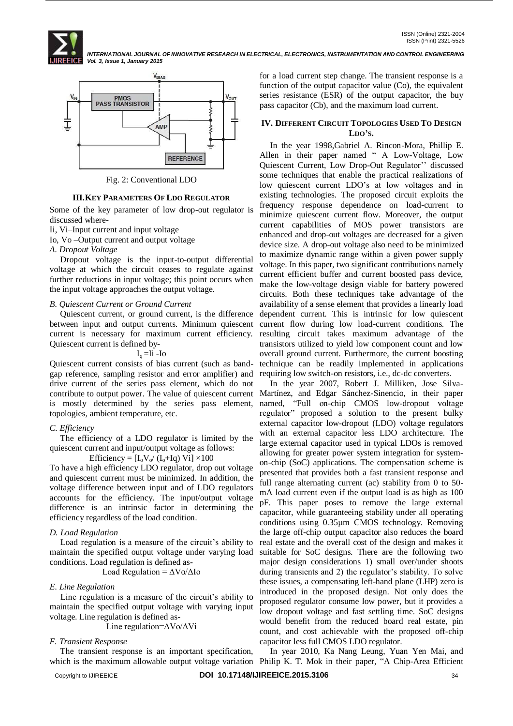



Fig. 2: Conventional LDO

## **III.KEY PARAMETERS OF LDO REGULATOR**

Some of the key parameter of low drop-out regulator is discussed where-

Ii, Vi–Input current and input voltage

Io, Vo –Output current and output voltage

# *A. Dropout Voltage*

 Dropout voltage is the input-to-output differential voltage at which the circuit ceases to regulate against further reductions in input voltage; this point occurs when the input voltage approaches the output voltage.

## *B. Quiescent Current or Ground Current*

 Quiescent current, or ground current, is the difference between input and output currents. Minimum quiescent current is necessary for maximum current efficiency. Quiescent current is defined by-

$$
I_q = I\mathbf{i} - I\mathbf{o}
$$

Quiescent current consists of bias current (such as bandgap reference, sampling resistor and error amplifier) and drive current of the series pass element, which do not is mostly determined by the series pass element, topologies, ambient temperature, etc.

# *C. Efficiency*

 The efficiency of a LDO regulator is limited by the quiescent current and input/output voltage as follows:

Efficiency =  $[I_0V_0/(I_0+Iq)$  Vi] ×100

To have a high efficiency LDO regulator, drop out voltage and quiescent current must be minimized. In addition, the voltage difference between input and of LDO regulators accounts for the efficiency. The input/output voltage difference is an intrinsic factor in determining the efficiency regardless of the load condition.

# *D. Load Regulation*

 Load regulation is a measure of the circuit's ability to maintain the specified output voltage under varying load conditions. Load regulation is defined as-

Load Regulation =  $\Delta$ Vo/ $\Delta$ Io

## *E. Line Regulation*

 Line regulation is a measure of the circuit's ability to maintain the specified output voltage with varying input voltage. Line regulation is defined as-

Line regulation=ΔVo/ΔVi

## *F. Transient Response*

The transient response is an important specification,

for a load current step change. The transient response is a function of the output capacitor value (Co), the equivalent series resistance (ESR) of the output capacitor, the buy pass capacitor (Cb), and the maximum load current.

## **IV. DIFFERENT CIRCUIT TOPOLOGIES USED TO DESIGN LDO'S.**

 In the year 1998,Gabriel A. Rincon-Mora, Phillip E. Allen in their paper named " A Low-Voltage, Low Quiescent Current, Low Drop-Out Regulator'' discussed some techniques that enable the practical realizations of low quiescent current LDO's at low voltages and in existing technologies. The proposed circuit exploits the frequency response dependence on load-current to minimize quiescent current flow. Moreover, the output current capabilities of MOS power transistors are enhanced and drop-out voltages are decreased for a given device size. A drop-out voltage also need to be minimized to maximize dynamic range within a given power supply voltage. In this paper, two significant contributions namely current efficient buffer and current boosted pass device, make the low-voltage design viable for battery powered circuits. Both these techniques take advantage of the availability of a sense element that provides a linearly load dependent current. This is intrinsic for low quiescent current flow during low load-current conditions. The resulting circuit takes maximum advantage of the transistors utilized to yield low component count and low overall ground current. Furthermore, the current boosting technique can be readily implemented in applications requiring low switch-on resistors, i.e., dc-dc converters.

contribute to output power. The value of quiescent current Martínez, and Edgar Sánchez-Sinencio, in their paper In the year 2007, Robert J. Milliken, Jose Silvanamed, "Full on-chip CMOS low-dropout voltage regulator" proposed a solution to the present bulky external capacitor low-dropout (LDO) voltage regulators with an external capacitor less LDO architecture. The large external capacitor used in typical LDOs is removed allowing for greater power system integration for systemon-chip (SoC) applications. The compensation scheme is presented that provides both a fast transient response and full range alternating current (ac) stability from 0 to 50 mA load current even if the output load is as high as 100 pF. This paper poses to remove the large external capacitor, while guaranteeing stability under all operating conditions using 0.35µm CMOS technology. Removing the large off-chip output capacitor also reduces the board real estate and the overall cost of the design and makes it suitable for SoC designs. There are the following two major design considerations 1) small over/under shoots during transients and 2) the regulator's stability. To solve these issues, a compensating left-hand plane (LHP) zero is introduced in the proposed design. Not only does the proposed regulator consume low power, but it provides a low dropout voltage and fast settling time. SoC designs would benefit from the reduced board real estate, pin count, and cost achievable with the proposed off-chip capacitor less full CMOS LDO regulator.

which is the maximum allowable output voltage variation Philip K. T. Mok in their paper, "A Chip-Area Efficient In year 2010, Ka Nang Leung, Yuan Yen Mai, and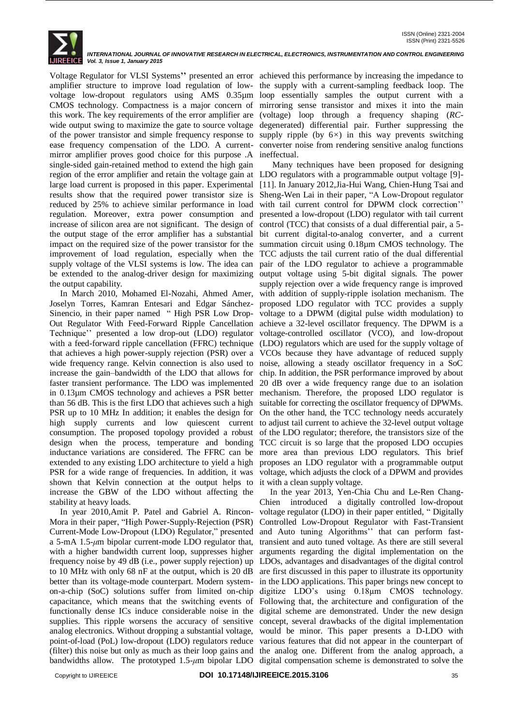

Voltage Regulator for VLSI Systems**''** presented an error achieved this performance by increasing the impedance to amplifier structure to improve load regulation of low-the supply with a current-sampling feedback loop. The voltage low-dropout regulators using AMS 0.35µm loop essentially samples the output current with a CMOS technology. Compactness is a major concern of mirroring sense transistor and mixes it into the main this work. The key requirements of the error amplifier are wide output swing to maximize the gate to source voltage of the power transistor and simple frequency response to supply ripple (by  $6\times$ ) in this way prevents switching ease frequency compensation of the LDO. A currentmirror amplifier proves good choice for this purpose .A single-sided gain-retained method to extend the high gain region of the error amplifier and retain the voltage gain at LDO regulators with a programmable output voltage [9] large load current is proposed in this paper. Experimental [11]. In January 2012,Jia-Hui Wang, Chien-Hung Tsai and results show that the required power transistor size is Sheng-Wen Lai in their paper, "A Low-Dropout regulator reduced by 25% to achieve similar performance in load with tail current control for DPWM clock correction'' regulation. Moreover, extra power consumption and presented a low-dropout (LDO) regulator with tail current increase of silicon area are not significant. The design of the output stage of the error amplifier has a substantial bit current digital-to-analog converter, and a current impact on the required size of the power transistor for the improvement of load regulation, especially when the TCC adjusts the tail current ratio of the dual differential supply voltage of the VLSI systems is low. The idea can be extended to the analog-driver design for maximizing the output capability.

 In March 2010, Mohamed El-Nozahi, Ahmed Amer*,*  Joselyn Torres*,* Kamran Entesari and Edgar Sánchez-Sinencio*,* in their paper named" High PSR Low Drop-Out Regulator With Feed-Forward Ripple Cancellation Technique'' presented a low drop-out (LDO) regulator with a feed-forward ripple cancellation (FFRC) technique that achieves a high power-supply rejection (PSR) over a VCOs because they have advantage of reduced supply wide frequency range. Kelvin connection is also used to noise, allowing a steady oscillator frequency in a SoC increase the gain–bandwidth of the LDO that allows for faster transient performance. The LDO was implemented in 0.13µm CMOS technology and achieves a PSR better mechanism. Therefore, the proposed LDO regulator is than 56 dB. This is the first LDO that achieves such a high PSR up to 10 MHz In addition; it enables the design for high supply currents and low quiescent current consumption. The proposed topology provided a robust design when the process, temperature and bonding inductance variations are considered. The FFRC can be extended to any existing LDO architecture to yield a high PSR for a wide range of frequencies. In addition, it was shown that Kelvin connection at the output helps to increase the GBW of the LDO without affecting the stability at heavy loads.

 In year 2010,Amit P. Patel and Gabriel A. Rincon-Mora in their paper, "High Power-Supply-Rejection (PSR) Current-Mode Low-Dropout (LDO) Regulator," presented and Auto tuning Algorithms'' that can perform fasta 5-mA 1.5-*μ*m bipolar current-mode LDO regulator that, transient and auto tuned voltage. As there are still several with a higher bandwidth current loop, suppresses higher arguments regarding the digital implementation on the frequency noise by 49 dB (i.e., power supply rejection) up LDOs, advantages and disadvantages of the digital control to 10 MHz with only 68 nF at the output, which is 20 dB are first discussed in this paper to illustrate its opportunity better than its voltage-mode counterpart. Modern system-in the LDO applications. This paper brings new concept to on-a-chip (SoC) solutions suffer from limited on-chip digitize LDO's using 0.18µm CMOS technology. capacitance, which means that the switching events of Following that, the architecture and configuration of the functionally dense ICs induce considerable noise in the digital scheme are demonstrated. Under the new design supplies. This ripple worsens the accuracy of sensitive concept, several drawbacks of the digital implementation analog electronics. Without dropping a substantial voltage, would be minor. This paper presents a D-LDO with point-of-load (PoL) low-dropout (LDO) regulators reduce various features that did not appear in the counterpart of (filter) this noise but only as much as their loop gains and the analog one. Different from the analog approach, a

(voltage) loop through a frequency shaping (*RC*degenerated) differential pair. Further suppressing the converter noise from rendering sensitive analog functions ineffectual.

 Many techniques have been proposed for designing control (TCC) that consists of a dual differential pair, a 5 summation circuit using 0.18µm CMOS technology. The pair of the LDO regulator to achieve a programmable output voltage using 5-bit digital signals. The power supply rejection over a wide frequency range is improved with addition of supply-ripple isolation mechanism. The proposed LDO regulator with TCC provides a supply voltage to a DPWM (digital pulse width modulation) to achieve a 32-level oscillator frequency. The DPWM is a voltage-controlled oscillator (VCO), and low-dropout (LDO) regulators which are used for the supply voltage of chip. In addition, the PSR performance improved by about 20 dB over a wide frequency range due to an isolation suitable for correcting the oscillator frequency of DPWMs. On the other hand, the TCC technology needs accurately to adjust tail current to achieve the 32-level output voltage of the LDO regulator; therefore, the transistors size of the TCC circuit is so large that the proposed LDO occupies more area than previous LDO regulators. This brief proposes an LDO regulator with a programmable output voltage, which adjusts the clock of a DPWM and provides it with a clean supply voltage.

bandwidths allow. The prototyped 1.5-*μ*m bipolar LDO digital compensation scheme is demonstrated to solve the In the year 2013, Yen-Chia Chu and Le-Ren Chang-Chien introduced a digitally controlled low-dropout voltage regulator (LDO) in their paper entitled, " Digitally Controlled Low-Dropout Regulator with Fast-Transient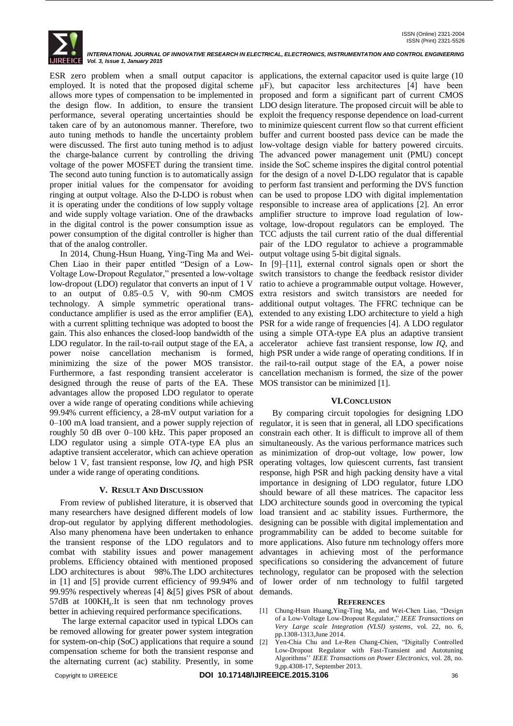

ESR zero problem when a small output capacitor is applications, the external capacitor used is quite large (10 employed. It is noted that the proposed digital scheme  $\mu$ F), but capacitor less architectures [4] have been allows more types of compensation to be implemented in proposed and form a significant part of current CMOS the design flow. In addition, to ensure the transient LDO design literature. The proposed circuit will be able to performance, several operating uncertainties should be exploit the frequency response dependence on load-current taken care of by an autonomous manner. Therefore, two to minimize quiescent current flow so that current efficient auto tuning methods to handle the uncertainty problem buffer and current boosted pass device can be made the were discussed. The first auto tuning method is to adjust low-voltage design viable for battery powered circuits. the charge-balance current by controlling the driving The advanced power management unit (PMU) concept voltage of the power MOSFET during the transient time. inside the SoC scheme inspires the digital control potential The second auto tuning function is to automatically assign for the design of a novel D-LDO regulator that is capable proper initial values for the compensator for avoiding to perform fast transient and performing the DVS function ringing at output voltage. Also the D-LDO is robust when can be used to propose LDO with digital implementation it is operating under the conditions of low supply voltage responsible to increase area of applications [2]. An error and wide supply voltage variation. One of the drawbacks amplifier structure to improve load regulation of lowin the digital control is the power consumption issue as voltage, low-dropout regulators can be employed. The power consumption of the digital controller is higher than TCC adjusts the tail current ratio of the dual differential that of the analog controller.

 In 2014, Chung-Hsun Huang, Ying-Ting Ma and Wei-output voltage using 5-bit digital signals. Chen Liao in their paper entitled "Design of a Low-In [9]–[11], external control signals open or short the Voltage Low-Dropout Regulator," presented a low-voltage switch transistors to change the feedback resistor divider low-dropout (LDO) regulator that converts an input of 1 V ratio to achieve a programmable output voltage. However, to an output of 0.85–0.5 V, with 90-nm CMOS extra resistors and switch transistors are needed for technology. A simple symmetric operational trans-additional output voltages. The FFRC technique can be conductance amplifier is used as the error amplifier (EA), extended to any existing LDO architecture to yield a high with a current splitting technique was adopted to boost the PSR for a wide range of frequencies [4]. A LDO regulator gain. This also enhances the closed-loop bandwidth of the using a simple OTA-type EA plus an adaptive transient LDO regulator. In the rail-to-rail output stage of the EA, a accelerator achieve fast transient response, low *IQ*, and power noise cancellation mechanism is formed, high PSR under a wide range of operating conditions. If in minimizing the size of the power MOS transistor. the rail-to-rail output stage of the EA, a power noise Furthermore, a fast responding transient accelerator is cancellation mechanism is formed, the size of the power designed through the reuse of parts of the EA. These MOS transistor can be minimized [1]. advantages allow the proposed LDO regulator to operate over a wide range of operating conditions while achieving 99.94% current efficiency, a 28-mV output variation for a 0–100 mA load transient, and a power supply rejection of roughly 50 dB over 0–100 kHz. This paper proposed an LDO regulator using a simple OTA-type EA plus an adaptive transient accelerator, which can achieve operation below 1 V, fast transient response, low *IQ*, and high PSR under a wide range of operating conditions.

## **V. RESULT AND DISCUSSION**

 From review of published literature, it is observed that many researchers have designed different models of low drop-out regulator by applying different methodologies. Also many phenomena have been undertaken to enhance the transient response of the LDO regulators and to combat with stability issues and power management problems. Efficiency obtained with mentioned proposed LDO architectures is about 98%.The LDO architectures in [1] and [5] provide current efficiency of 99.94% and of lower order of nm technology to fulfil targeted 99.95% respectively whereas [4] &[5] gives PSR of about demands. 57dB at 100KH<sub>z</sub>.It is seen that nm technology proves better in achieving required performance specifications.

 The large external capacitor used in typical LDOs can be removed allowing for greater power system integration for system-on-chip (SoC) applications that require a sound [2] compensation scheme for both the transient response and the alternating current (ac) stability. Presently, in some

pair of the LDO regulator to achieve a programmable

## **VI.CONCLUSION**

 By comparing circuit topologies for designing LDO regulator, it is seen that in general, all LDO specifications constrain each other. It is difficult to improve all of them simultaneously. As the various performance matrices such as minimization of drop-out voltage, low power, low operating voltages, low quiescent currents, fast transient response, high PSR and high packing density have a vital importance in designing of LDO regulator, future LDO should beware of all these matrices. The capacitor less LDO architecture sounds good in overcoming the typical load transient and ac stability issues. Furthermore, the designing can be possible with digital implementation and programmability can be added to become suitable for more applications. Also future nm technology offers more advantages in achieving most of the performance specifications so considering the advancement of future technology, regulator can be proposed with the selection

#### **REFERENCES**

- [1] Chung-Hsun Huang,Ying-Ting Ma, and Wei-Chen Liao, "Design of a Low-Voltage Low-Dropout Regulator," *IEEE Transactions on Very Large scale Integration (VLSI) systems*, vol. 22, no. 6, pp.1308-1313,June 2014.
- [2] Yen-Chia Chu and Le-Ren Chang-Chien*,* "Digitally Controlled Low-Dropout Regulator with Fast-Transient and Autotuning Algorithms'' *IEEE Transactions on Power Electronics,* vol. 28, no. 9,pp.4308-17, September 2013.

Copyright to IJIREEICE **DOI 10.17148/IJIREEICE.2015.3106** 36